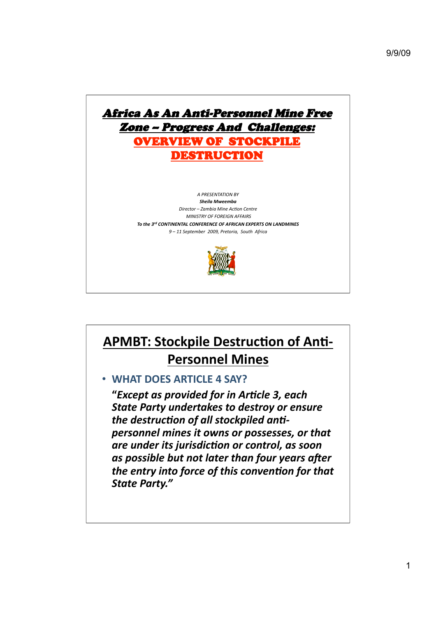

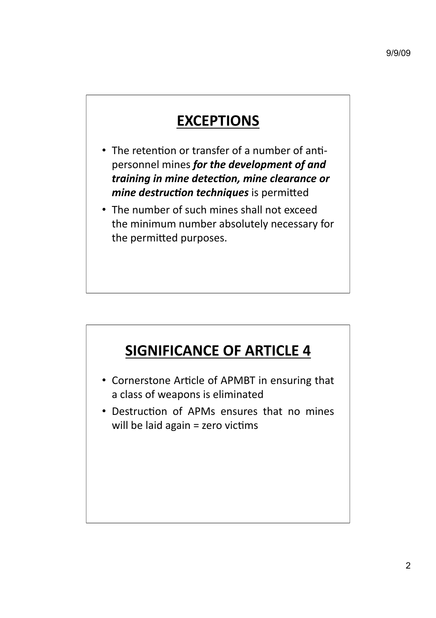## **EXCEPTIONS**

- The retention or transfer of a number of antipersonnel
mines *for
the
development
of
and*  training in mine detection, mine clearance or *mine destruction techniques* is permitted
- The number of such mines shall not exceed the
minimum
number
absolutely
necessary
for the permitted purposes.

# **SIGNIFICANCE
OF
ARTICLE
4**

- Cornerstone Article of APMBT in ensuring that a
class
of
weapons
is
eliminated
- Destruction of APMs ensures that no mines will be laid again  $=$  zero victims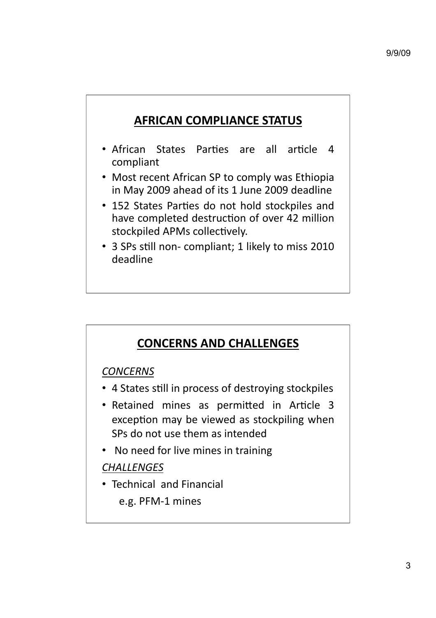## **AFRICAN
COMPLIANCE
STATUS**

- African States Parties are all article 4 compliant
- Most recent African SP to comply was Ethiopia in
May
2009
ahead
of
its
1
June
2009
deadline
- 152 States Parties do not hold stockpiles and have completed destruction of over 42 million stockpiled APMs collectively.
- 3 SPs still non- compliant; 1 likely to miss 2010 deadline

### **CONCERNS
AND
CHALLENGES**

### *CONCERNS*

- 4 States still in process of destroying stockpiles
- Retained mines as permitted in Article 3 exception may be viewed as stockpiling when SPs
do
not
use
them
as
intended
- No need for live mines in training

### *CHALLENGES*

- Technical and Financial
	- e.g.
	PFM‐1
	mines